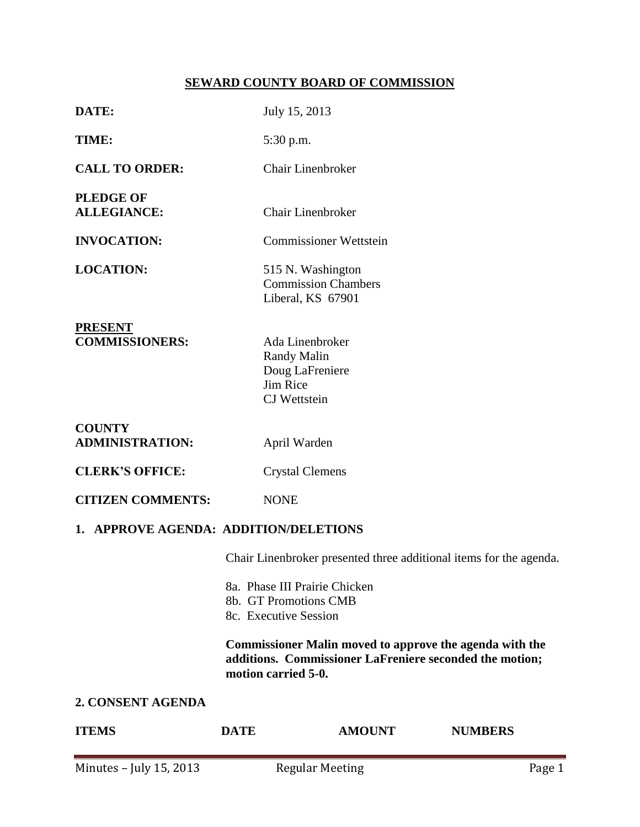# **SEWARD COUNTY BOARD OF COMMISSION**

| <b>CITIZEN COMMENTS:</b><br>1. APPROVE AGENDA: ADDITION/DELETIONS<br>8b. GT Promotions CMB<br>8c. Executive Session<br>motion carried 5-0.<br>2. CONSENT AGENDA<br><b>DATE</b> | 8a. Phase III Prairie Chicken<br><b>AMOUNT</b> | Chair Linenbroker presented three additional items for the agenda.<br><b>Commissioner Malin moved to approve the agenda with the</b><br>additions. Commissioner LaFreniere seconded the motion;<br><b>NUMBERS</b> |  |  |  |
|--------------------------------------------------------------------------------------------------------------------------------------------------------------------------------|------------------------------------------------|-------------------------------------------------------------------------------------------------------------------------------------------------------------------------------------------------------------------|--|--|--|
|                                                                                                                                                                                |                                                |                                                                                                                                                                                                                   |  |  |  |
|                                                                                                                                                                                |                                                |                                                                                                                                                                                                                   |  |  |  |
|                                                                                                                                                                                |                                                |                                                                                                                                                                                                                   |  |  |  |
|                                                                                                                                                                                |                                                |                                                                                                                                                                                                                   |  |  |  |
|                                                                                                                                                                                |                                                |                                                                                                                                                                                                                   |  |  |  |
|                                                                                                                                                                                |                                                |                                                                                                                                                                                                                   |  |  |  |
|                                                                                                                                                                                |                                                |                                                                                                                                                                                                                   |  |  |  |
|                                                                                                                                                                                |                                                |                                                                                                                                                                                                                   |  |  |  |
|                                                                                                                                                                                | <b>NONE</b>                                    |                                                                                                                                                                                                                   |  |  |  |
|                                                                                                                                                                                | <b>Crystal Clemens</b>                         |                                                                                                                                                                                                                   |  |  |  |
| <b>ADMINISTRATION:</b>                                                                                                                                                         | April Warden                                   |                                                                                                                                                                                                                   |  |  |  |
|                                                                                                                                                                                |                                                |                                                                                                                                                                                                                   |  |  |  |
|                                                                                                                                                                                |                                                |                                                                                                                                                                                                                   |  |  |  |
|                                                                                                                                                                                |                                                |                                                                                                                                                                                                                   |  |  |  |
|                                                                                                                                                                                |                                                |                                                                                                                                                                                                                   |  |  |  |
|                                                                                                                                                                                |                                                |                                                                                                                                                                                                                   |  |  |  |
|                                                                                                                                                                                |                                                |                                                                                                                                                                                                                   |  |  |  |
|                                                                                                                                                                                | 515 N. Washington                              |                                                                                                                                                                                                                   |  |  |  |
|                                                                                                                                                                                | <b>Commissioner Wettstein</b>                  |                                                                                                                                                                                                                   |  |  |  |
|                                                                                                                                                                                |                                                |                                                                                                                                                                                                                   |  |  |  |
|                                                                                                                                                                                |                                                |                                                                                                                                                                                                                   |  |  |  |
|                                                                                                                                                                                | 5:30 p.m.                                      |                                                                                                                                                                                                                   |  |  |  |
|                                                                                                                                                                                |                                                |                                                                                                                                                                                                                   |  |  |  |
|                                                                                                                                                                                |                                                | July 15, 2013<br>Chair Linenbroker<br><b>Chair Linenbroker</b><br><b>Commission Chambers</b><br>Liberal, KS 67901<br>Ada Linenbroker<br><b>Randy Malin</b><br>Doug LaFreniere<br>Jim Rice<br>CJ Wettstein         |  |  |  |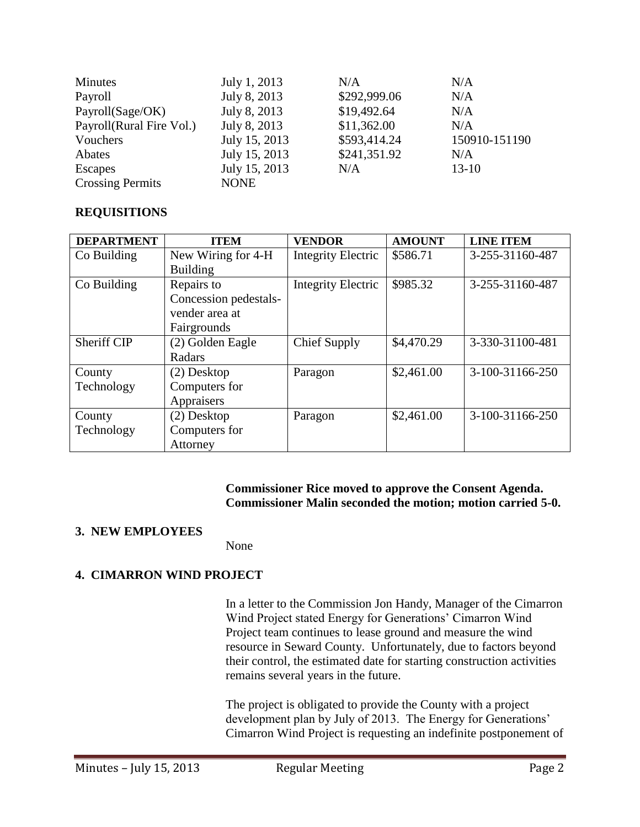| Minutes                  | July 1, 2013  | N/A          | N/A           |
|--------------------------|---------------|--------------|---------------|
| Payroll                  | July 8, 2013  | \$292,999.06 | N/A           |
| Payroll(Sage/OK)         | July 8, 2013  | \$19,492.64  | N/A           |
| Payroll(Rural Fire Vol.) | July 8, 2013  | \$11,362.00  | N/A           |
| Vouchers                 | July 15, 2013 | \$593,414.24 | 150910-151190 |
| Abates                   | July 15, 2013 | \$241,351.92 | N/A           |
| Escapes                  | July 15, 2013 | N/A          | $13-10$       |
| <b>Crossing Permits</b>  | <b>NONE</b>   |              |               |

## **REQUISITIONS**

| <b>DEPARTMENT</b> | <b>ITEM</b>           | <b>VENDOR</b>             | <b>AMOUNT</b> | <b>LINE ITEM</b> |
|-------------------|-----------------------|---------------------------|---------------|------------------|
| Co Building       | New Wiring for 4-H    | <b>Integrity Electric</b> | \$586.71      | 3-255-31160-487  |
|                   | <b>Building</b>       |                           |               |                  |
| Co Building       | Repairs to            | <b>Integrity Electric</b> | \$985.32      | 3-255-31160-487  |
|                   | Concession pedestals- |                           |               |                  |
|                   | vender area at        |                           |               |                  |
|                   | Fairgrounds           |                           |               |                  |
| Sheriff CIP       | (2) Golden Eagle      | <b>Chief Supply</b>       | \$4,470.29    | 3-330-31100-481  |
|                   | Radars                |                           |               |                  |
| County            | (2) Desktop           | Paragon                   | \$2,461.00    | 3-100-31166-250  |
| Technology        | Computers for         |                           |               |                  |
|                   | Appraisers            |                           |               |                  |
| County            | (2) Desktop           | Paragon                   | \$2,461.00    | 3-100-31166-250  |
| Technology        | Computers for         |                           |               |                  |
|                   | Attorney              |                           |               |                  |

### **Commissioner Rice moved to approve the Consent Agenda. Commissioner Malin seconded the motion; motion carried 5-0.**

## **3. NEW EMPLOYEES**

None

## **4. CIMARRON WIND PROJECT**

In a letter to the Commission Jon Handy, Manager of the Cimarron Wind Project stated Energy for Generations' Cimarron Wind Project team continues to lease ground and measure the wind resource in Seward County. Unfortunately, due to factors beyond their control, the estimated date for starting construction activities remains several years in the future.

The project is obligated to provide the County with a project development plan by July of 2013. The Energy for Generations' Cimarron Wind Project is requesting an indefinite postponement of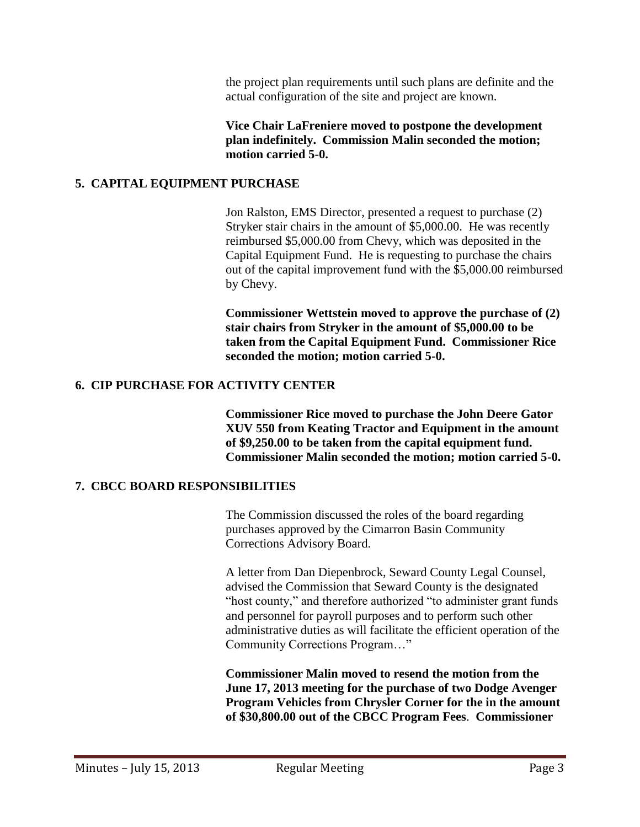the project plan requirements until such plans are definite and the actual configuration of the site and project are known.

**Vice Chair LaFreniere moved to postpone the development plan indefinitely. Commission Malin seconded the motion; motion carried 5-0.** 

## **5. CAPITAL EQUIPMENT PURCHASE**

Jon Ralston, EMS Director, presented a request to purchase (2) Stryker stair chairs in the amount of \$5,000.00. He was recently reimbursed \$5,000.00 from Chevy, which was deposited in the Capital Equipment Fund. He is requesting to purchase the chairs out of the capital improvement fund with the \$5,000.00 reimbursed by Chevy.

**Commissioner Wettstein moved to approve the purchase of (2) stair chairs from Stryker in the amount of \$5,000.00 to be taken from the Capital Equipment Fund. Commissioner Rice seconded the motion; motion carried 5-0.** 

## **6. CIP PURCHASE FOR ACTIVITY CENTER**

**Commissioner Rice moved to purchase the John Deere Gator XUV 550 from Keating Tractor and Equipment in the amount of \$9,250.00 to be taken from the capital equipment fund. Commissioner Malin seconded the motion; motion carried 5-0.** 

## **7. CBCC BOARD RESPONSIBILITIES**

The Commission discussed the roles of the board regarding purchases approved by the Cimarron Basin Community Corrections Advisory Board.

A letter from Dan Diepenbrock, Seward County Legal Counsel, advised the Commission that Seward County is the designated "host county," and therefore authorized "to administer grant funds and personnel for payroll purposes and to perform such other administrative duties as will facilitate the efficient operation of the Community Corrections Program…"

**Commissioner Malin moved to resend the motion from the June 17, 2013 meeting for the purchase of two Dodge Avenger Program Vehicles from Chrysler Corner for the in the amount of \$30,800.00 out of the CBCC Program Fees**. **Commissioner**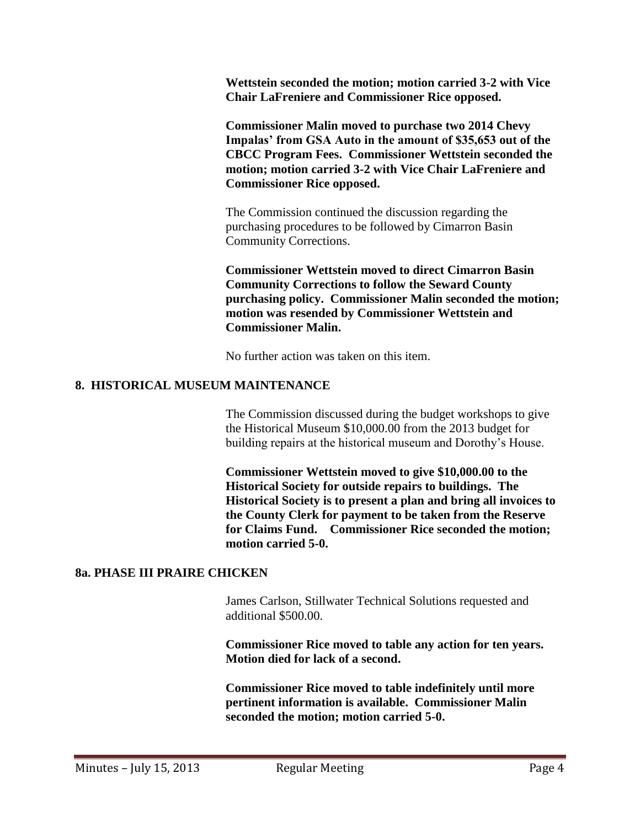**Wettstein seconded the motion; motion carried 3-2 with Vice Chair LaFreniere and Commissioner Rice opposed.** 

**Commissioner Malin moved to purchase two 2014 Chevy Impalas' from GSA Auto in the amount of \$35,653 out of the CBCC Program Fees. Commissioner Wettstein seconded the motion; motion carried 3-2 with Vice Chair LaFreniere and Commissioner Rice opposed.**

The Commission continued the discussion regarding the purchasing procedures to be followed by Cimarron Basin Community Corrections.

**Commissioner Wettstein moved to direct Cimarron Basin Community Corrections to follow the Seward County purchasing policy. Commissioner Malin seconded the motion; motion was resended by Commissioner Wettstein and Commissioner Malin.** 

No further action was taken on this item.

### **8. HISTORICAL MUSEUM MAINTENANCE**

The Commission discussed during the budget workshops to give the Historical Museum \$10,000.00 from the 2013 budget for building repairs at the historical museum and Dorothy's House.

**Commissioner Wettstein moved to give \$10,000.00 to the Historical Society for outside repairs to buildings. The Historical Society is to present a plan and bring all invoices to the County Clerk for payment to be taken from the Reserve for Claims Fund. Commissioner Rice seconded the motion; motion carried 5-0.** 

#### **8a. PHASE III PRAIRE CHICKEN**

James Carlson, Stillwater Technical Solutions requested and additional \$500.00.

**Commissioner Rice moved to table any action for ten years. Motion died for lack of a second.** 

**Commissioner Rice moved to table indefinitely until more pertinent information is available. Commissioner Malin seconded the motion; motion carried 5-0.**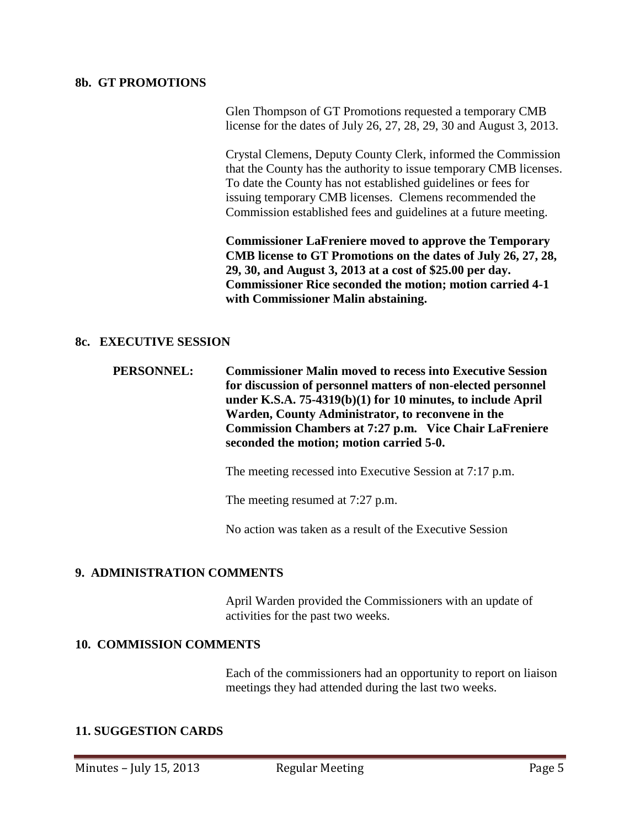#### **8b. GT PROMOTIONS**

Glen Thompson of GT Promotions requested a temporary CMB license for the dates of July 26, 27, 28, 29, 30 and August 3, 2013.

Crystal Clemens, Deputy County Clerk, informed the Commission that the County has the authority to issue temporary CMB licenses. To date the County has not established guidelines or fees for issuing temporary CMB licenses. Clemens recommended the Commission established fees and guidelines at a future meeting.

**Commissioner LaFreniere moved to approve the Temporary CMB license to GT Promotions on the dates of July 26, 27, 28, 29, 30, and August 3, 2013 at a cost of \$25.00 per day. Commissioner Rice seconded the motion; motion carried 4-1 with Commissioner Malin abstaining.** 

### **8c. EXECUTIVE SESSION**

**PERSONNEL: Commissioner Malin moved to recess into Executive Session for discussion of personnel matters of non-elected personnel under K.S.A. 75-4319(b)(1) for 10 minutes, to include April Warden, County Administrator, to reconvene in the Commission Chambers at 7:27 p.m. Vice Chair LaFreniere seconded the motion; motion carried 5-0.**

The meeting recessed into Executive Session at 7:17 p.m.

The meeting resumed at 7:27 p.m.

No action was taken as a result of the Executive Session

#### **9. ADMINISTRATION COMMENTS**

April Warden provided the Commissioners with an update of activities for the past two weeks.

#### **10. COMMISSION COMMENTS**

Each of the commissioners had an opportunity to report on liaison meetings they had attended during the last two weeks.

#### **11. SUGGESTION CARDS**

Minutes – July 15, 2013 Regular Meeting Page 5